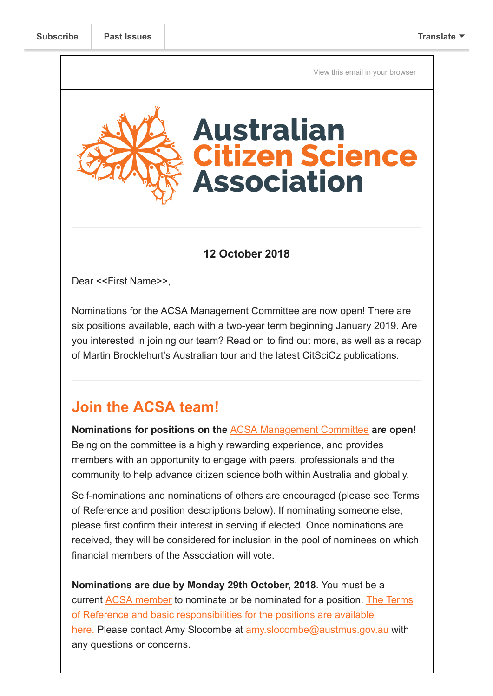[View this email in your browser](https://mailchi.mp/c5030e6c47ca/call-for-nominations-2849541?e=[UNIQID])



#### **12 October 2018**

Dear <<First Name>>,

Nominations for the ACSA Management Committee are now open! There are six positions available, each with a two-year term beginning January 2019. Are you interested in joining our team? Read on to find out more, as well as a recap of Martin Brocklehurt's Australian tour and the latest CitSciOz publications.

## **Join the ACSA team!**

**Nominations for positions on the** [ACSA Management Committee](https://citizenscience.org.au/who-we-are/management-committee/) **are open!** Being on the committee is a highly rewarding experience, and provides members with an opportunity to engage with peers, professionals and the community to help advance citizen science both within Australia and globally.

Self-nominations and nominations of others are encouraged (please see Terms of Reference and position descriptions below). If nominating someone else, please first confirm their interest in serving if elected. Once nominations are received, they will be considered for inclusion in the pool of nominees on which financial members of the Association will vote.

**Nominations are due by Monday 29th October, 2018**. You must be a [current ACSA member to nominate or be nominated for a position. The Terms](https://citizenscience.org.au/wp-content/uploads/2018/10/ACSA-Management-Committee-Terms-of-Reference-1.pdf) of Reference and basic responsibilities for the positions are available here. Please contact Amy Slocombe at [amy.slocombe@austmus.gov.au](mailto:amy.slocombe@austmus.gov.au) with any questions or concerns.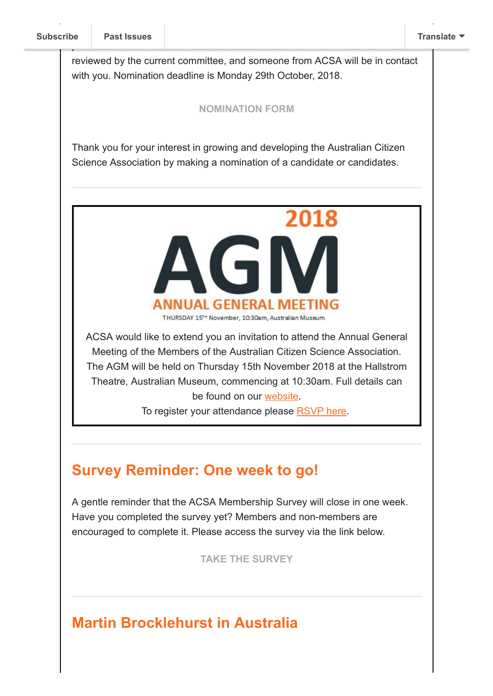reviewed by the current committee, and someone from ACSA will be in contact with you. Nomination deadline is Monday 29th October, 2018.

provides an overview of all details needed to submit. All nominations will be

#### **[NOMINATION FORM](https://www.surveymonkey.com/r/VSTP96H)**

Thank you for your interest in growing and developing the Australian Citizen Science Association by making a nomination of a candidate or candidates.



ACSA would like to extend you an invitation to attend the Annual General Meeting of the Members of the Australian Citizen Science Association. The AGM will be held on Thursday 15th November 2018 at the Hallstrom Theatre, Australian Museum, commencing at 10:30am. Full details can be found on our [website.](https://citizenscience.org.au/2018/10/12/notice-of-annual-general-meeting/)

To register your attendance please [RSVP here](https://www.surveymonkey.com/r/V27YPYK).

# **Survey Reminder: One week to go!**

A gentle reminder that the ACSA Membership Survey will close in one week. Have you completed the survey yet? Members and non-members are encouraged to complete it. Please access the survey via the link below.

**[TAKE THE SURVEY](https://goo.gl/forms/5jKIrcmIEzrtHn532)**

# **Martin Brocklehurst in Australia**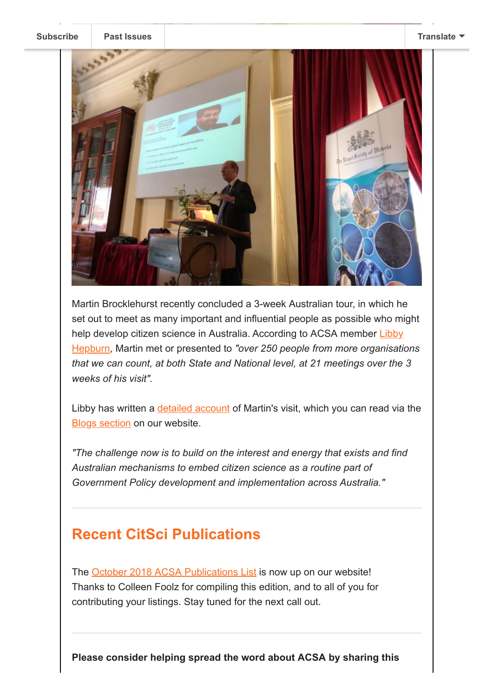

Martin Brocklehurst recently concluded a 3-week Australian tour, in which he set out to meet as many important and influential people as possible who might [help develop citizen science in Australia. According to ACSA member Libby](https://citizenscience.org.au/members/libby/profile/) Hepburn, Martin met or presented to *"over 250 people from more organisations that we can count, at both State and National level, at 21 meetings over the 3 weeks of his visit".* 

Libby has written a **detailed account** of Martin's visit, which you can read via the **[Blogs section](https://citizenscience.org.au/category/blogs/) on our website.** 

*"The challenge now is to build on the interest and energy that exists and find Australian mechanisms to embed citizen science as a routine part of Government Policy development and implementation across Australia."*

### **Recent CitSci Publications**

The [October 2018 ACSA Publications List](https://citizenscience.org.au/wp-content/uploads/2018/10/ACSA-Publications-Listing-No.-6_Oct2018.pdf) is now up on our website! Thanks to Colleen Foolz for compiling this edition, and to all of you for contributing your listings. Stay tuned for the next call out.

**Please consider helping spread the word about ACSA by sharing this**